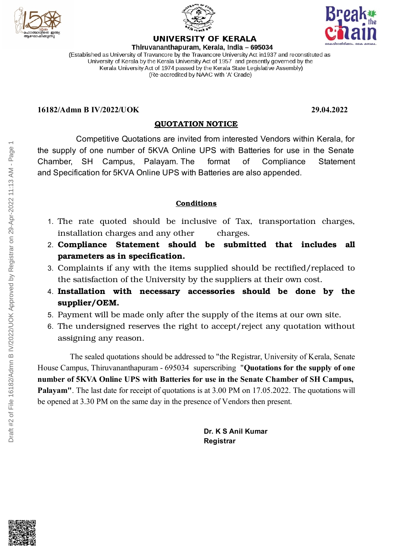



# **UNIVERSITY OF KERALA**



Thiruvananthapuram, Kerala, India - 695034 (Established as University of Travancore by the Travancore University Act in 1937 and reconstituted as University of Kerala by the Kerala University Act of 1957 and presently governed by the Kerala University Act of 1974 passed by the Kerala State Legislative Assembly) (Re-accredited by NAAC with 'A' Grade)

#### **16182/Admn B IV/2022/UOK 29.04.2022**

### **QUOTATION NOTICE**

Competitive Quotations are invited from interested Vendors within Kerala, for the supply of one number of 5KVA Online UPS with Batteries for use in the Senate Chamber, SH Campus, Palayam. The format of Compliance Statement and Specification for 5KVA Online UPS with Batteries are also appended.

#### **Conditions**

- 1. The rate quoted should be inclusive of Tax, transportation charges, installation charges and any other charges.
- 2. **Compliance Statement should be submitted that includes all parameters as in specification.**
- 3. Complaints if any with the items supplied should be rectified/replaced to the satisfaction of the University by the suppliers at their own cost.
- 4. **Installation with necessary accessories should be done by the supplier/OEM.**
- 5. Payment will be made only after the supply of the items at our own site.
- 6. The undersigned reserves the right to accept/reject any quotation without assigning any reason.

The sealed quotations should be addressed to "the Registrar, University of Kerala, Senate House Campus, Thiruvananthapuram - 695034 superscribing "**Quotations for the supply of one number of 5KVA Online UPS with Batteries for use in the Senate Chamber of SH Campus, Palayam"**. The last date for receipt of quotations is at 3.00 PM on 17.05.2022. The quotations will be opened at 3.30 PM on the same day in the presence of Vendors then present.

> **Dr. K S Anil Kumar Registrar**

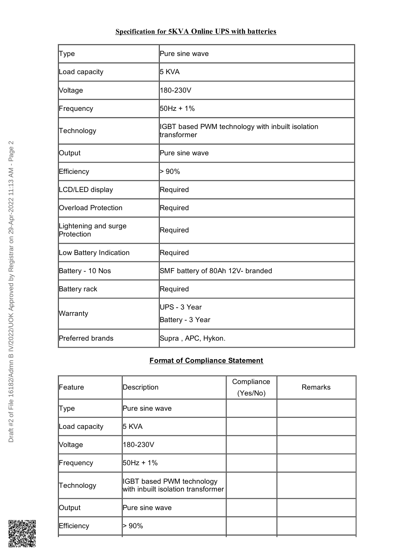## **Specification for 5KVA Online UPS with batteries**

| Type                               | Pure sine wave                                                  |  |
|------------------------------------|-----------------------------------------------------------------|--|
| Load capacity                      | 5 KVA                                                           |  |
| Voltage                            | 180-230V                                                        |  |
| Frequency                          | 50Hz + 1%                                                       |  |
| Technology                         | IGBT based PWM technology with inbuilt isolation<br>transformer |  |
| Output                             | Pure sine wave                                                  |  |
| Efficiency                         | > 90%                                                           |  |
| LCD/LED display                    | Required                                                        |  |
| <b>Overload Protection</b>         | Required                                                        |  |
| Lightening and surge<br>Protection | Required                                                        |  |
| Low Battery Indication             | Required                                                        |  |
| Battery - 10 Nos                   | SMF battery of 80Ah 12V- branded                                |  |
| Battery rack                       | Required                                                        |  |
| Warranty                           | lUPS - 3 Year<br>Battery - 3 Year                               |  |
| Preferred brands                   | Supra, APC, Hykon.                                              |  |

# **Format of Compliance Statement**

| Description                                                     | Compliance<br>(Yes/No) | <b>Remarks</b> |
|-----------------------------------------------------------------|------------------------|----------------|
| Pure sine wave                                                  |                        |                |
| 5 KVA                                                           |                        |                |
| 180-230V                                                        |                        |                |
| 50Hz + 1%                                                       |                        |                |
| IGBT based PWM technology<br>with inbuilt isolation transformer |                        |                |
| Pure sine wave                                                  |                        |                |
| > 90%                                                           |                        |                |
|                                                                 |                        |                |